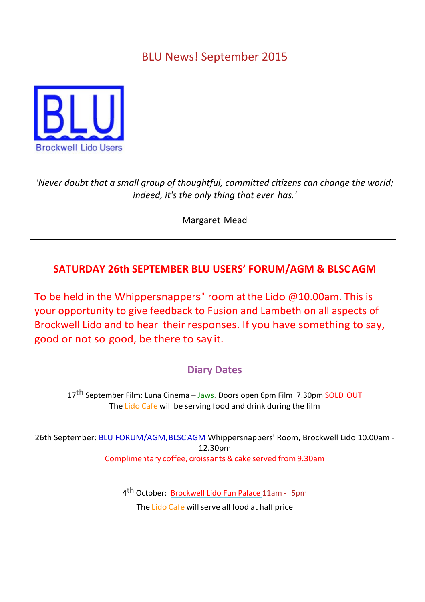## **BLU News! September 2015**



'Never doubt that a small group of thoughtful, committed citizens can change the world; indeed, it's the only thing that ever has.'

Margaret Mead

## **SATURDAY 26th SEPTEMBER BLU USERS' FORUM/AGM & BLSCAGM**

To be held in the Whippersnappers' room at the Lido  $@10.00$ am. This is your opportunity to give feedback to Fusion and Lambeth on all aspects of Brockwell Lido and to hear their responses. If you have something to say, good or not so good, be there to say it.

## **Diary Dates**

17<sup>th</sup> September Film: Luna Cinema – Jaws. Doors open 6pm Film 7.30pm SOLD OUT The Lido Cafe will be serving food and drink during the film

26th September: BLU FORUM/AGM, BLSCAGM Whippersnappers' Room, Brockwell Lido 10.00am -12.30pm Complimentary coffee, croissants&cake served from9.30am

> 4<sup>th</sup> October: Brockwell Lido Fun Palace 11am - 5pm The Lido Cafe will serve all food at half price